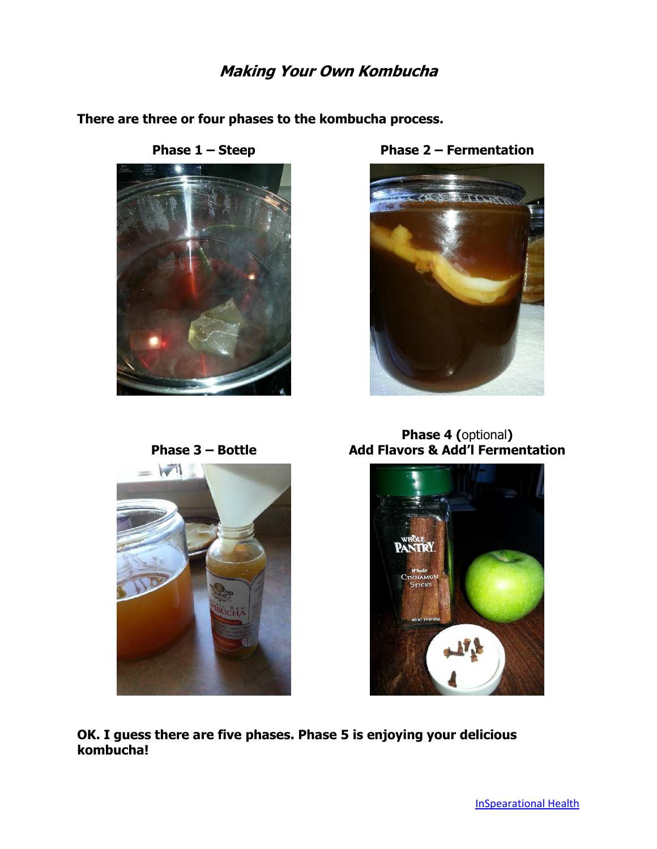## **Making Your Own Kombucha**

**There are three or four phases to the kombucha process.**



**Phase 1 – Steep Phase 2 – Fermentation**



**Phase 3 – Bottle**



**Phase 4 (**optional**) Add Flavors & Add'l Fermentation**



**OK. I guess there are five phases. Phase 5 is enjoying your delicious kombucha!**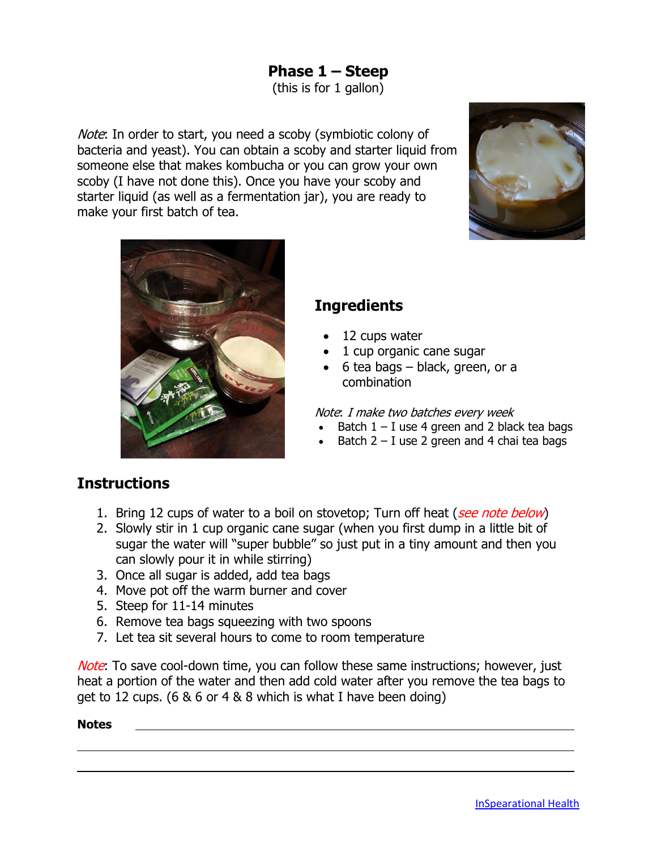# **Phase 1 – Steep**

(this is for 1 gallon)

Note: In order to start, you need a scoby (symbiotic colony of bacteria and yeast). You can obtain a scoby and starter liquid from someone else that makes kombucha or you can grow your own scoby (I have not done this). Once you have your scoby and starter liquid (as well as a fermentation jar), you are ready to make your first batch of tea.





# **Ingredients**

- 12 cups water
- 1 cup organic cane sugar
- $\bullet$  6 tea bags black, green, or a combination

#### Note: I make two batches every week

- Batch  $1 I$  use 4 green and 2 black tea bags
- Batch  $2 I$  use 2 green and 4 chai tea bags

## **Instructions**

- 1. Bring 12 cups of water to a boil on stovetop; Turn off heat (see note below)
- 2. Slowly stir in 1 cup organic cane sugar (when you first dump in a little bit of sugar the water will "super bubble" so just put in a tiny amount and then you can slowly pour it in while stirring)
- 3. Once all sugar is added, add tea bags
- 4. Move pot off the warm burner and cover
- 5. Steep for 11-14 minutes
- 6. Remove tea bags squeezing with two spoons
- 7. Let tea sit several hours to come to room temperature

Note: To save cool-down time, you can follow these same instructions; however, just heat a portion of the water and then add cold water after you remove the tea bags to get to 12 cups. (6 & 6 or 4 & 8 which is what I have been doing)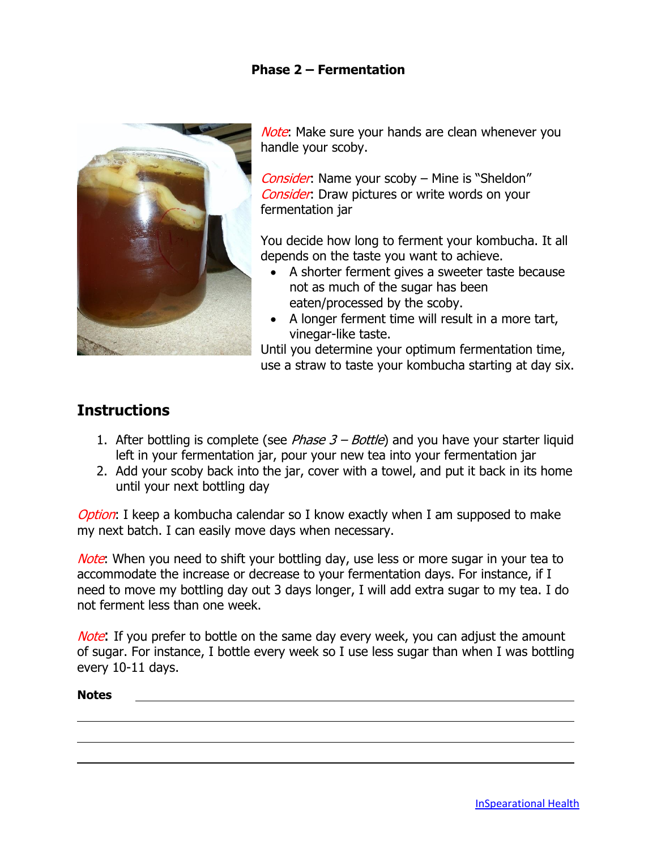#### **Phase 2 – Fermentation**



Note: Make sure your hands are clean whenever you handle your scoby.

Consider: Name your scoby – Mine is "Sheldon" Consider: Draw pictures or write words on your fermentation jar

You decide how long to ferment your kombucha. It all depends on the taste you want to achieve.

- A shorter ferment gives a sweeter taste because not as much of the sugar has been eaten/processed by the scoby.
- A longer ferment time will result in a more tart, vinegar-like taste.

Until you determine your optimum fermentation time, use a straw to taste your kombucha starting at day six.

## **Instructions**

- 1. After bottling is complete (see *Phase*  $3 Bottle$ ) and you have your starter liquid left in your fermentation jar, pour your new tea into your fermentation jar
- 2. Add your scoby back into the jar, cover with a towel, and put it back in its home until your next bottling day

Option: I keep a kombucha calendar so I know exactly when I am supposed to make my next batch. I can easily move days when necessary.

Note: When you need to shift your bottling day, use less or more sugar in your tea to accommodate the increase or decrease to your fermentation days. For instance, if I need to move my bottling day out 3 days longer, I will add extra sugar to my tea. I do not ferment less than one week.

Note: If you prefer to bottle on the same day every week, you can adjust the amount of sugar. For instance, I bottle every week so I use less sugar than when I was bottling every 10-11 days.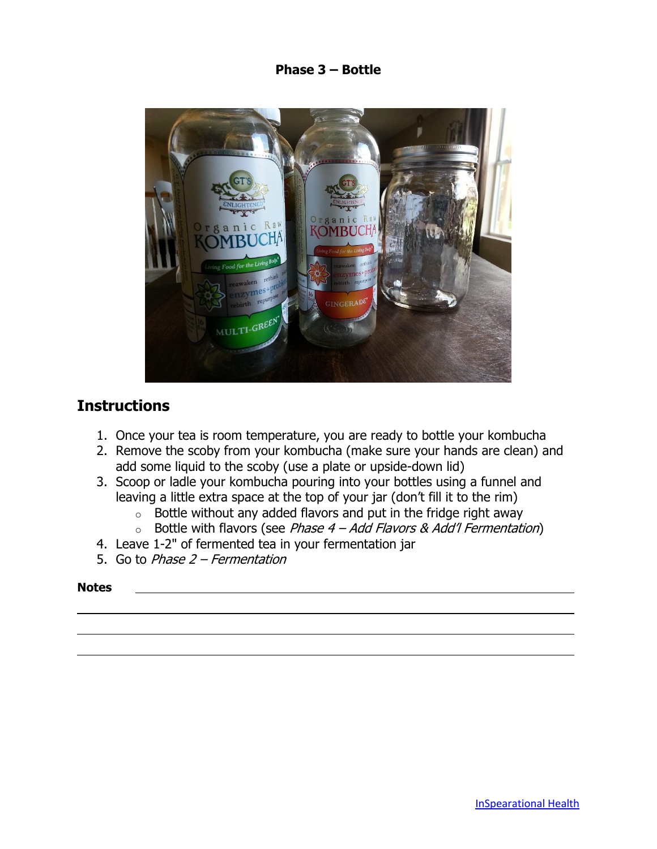**Phase 3 – Bottle**



## **Instructions**

- 1. Once your tea is room temperature, you are ready to bottle your kombucha
- 2. Remove the scoby from your kombucha (make sure your hands are clean) and add some liquid to the scoby (use a plate or upside-down lid)
- 3. Scoop or ladle your kombucha pouring into your bottles using a funnel and leaving a little extra space at the top of your jar (don't fill it to the rim)
	- $\circ$  Bottle without any added flavors and put in the fridge right away
	- $\circ$  Bottle with flavors (see Phase 4 Add Flavors & Add'l Fermentation)
- 4. Leave 1-2" of fermented tea in your fermentation jar
- 5. Go to Phase 2 Fermentation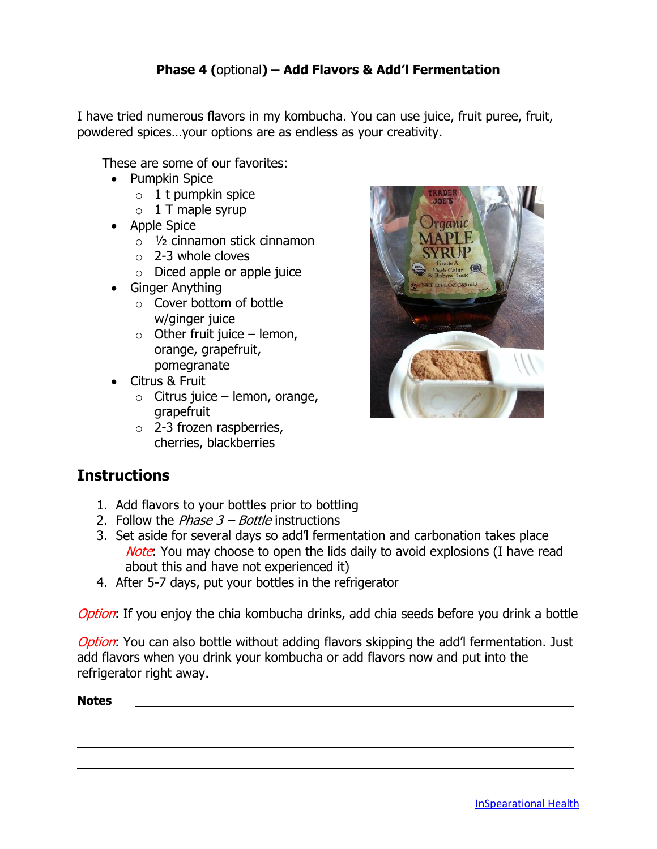### **Phase 4 (**optional**) – Add Flavors & Add'l Fermentation**

I have tried numerous flavors in my kombucha. You can use juice, fruit puree, fruit, powdered spices…your options are as endless as your creativity.

These are some of our favorites:

- Pumpkin Spice
	- $\circ$  1 t pumpkin spice
	- $\circ$  1 T maple syrup
- Apple Spice
	- o ½ cinnamon stick cinnamon
	- $\circ$  2-3 whole cloves
	- o Diced apple or apple juice
- Ginger Anything
	- o Cover bottom of bottle w/ginger juice
	- $\circ$  Other fruit juice lemon, orange, grapefruit, pomegranate
- Citrus & Fruit
	- $\circ$  Citrus juice lemon, orange, grapefruit
	- $\circ$  2-3 frozen raspberries, cherries, blackberries

# raanic **APLE**

## **Instructions**

- 1. Add flavors to your bottles prior to bottling
- 2. Follow the *Phase*  $3 Bottle$  instructions
- 3. Set aside for several days so add'l fermentation and carbonation takes place Note: You may choose to open the lids daily to avoid explosions (I have read about this and have not experienced it)
- 4. After 5-7 days, put your bottles in the refrigerator

Option: If you enjoy the chia kombucha drinks, add chia seeds before you drink a bottle

Option: You can also bottle without adding flavors skipping the add'l fermentation. Just add flavors when you drink your kombucha or add flavors now and put into the refrigerator right away.